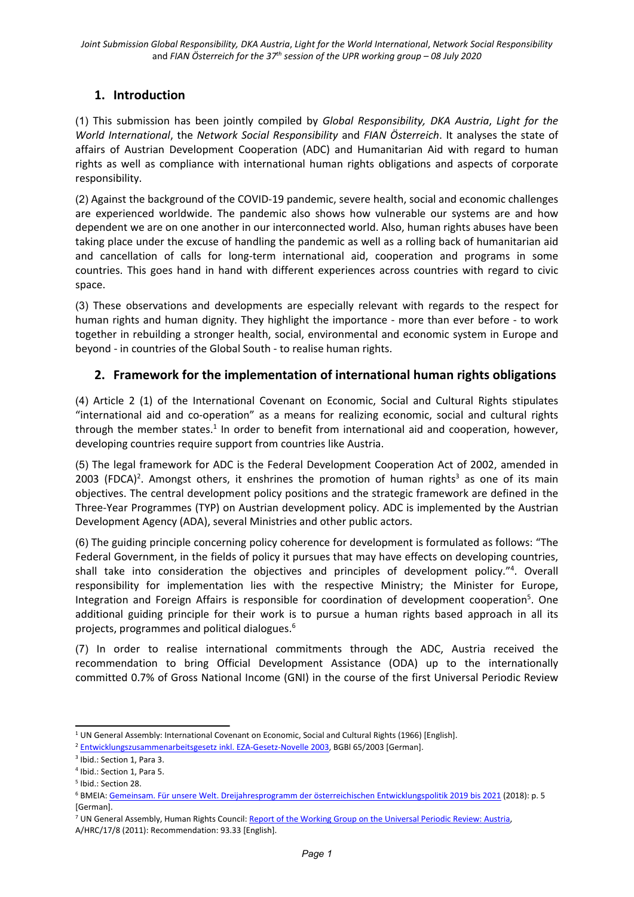# **1. Introduction**

(1) This submission has been jointly compiled by *Global Responsibility, DKA Austria*, *Light for the World International*, the *Network Social Responsibility* and *FIAN Österreich*. It analyses the state of affairs of Austrian Development Cooperation (ADC) and Humanitarian Aid with regard to human rights as well as compliance with international human rights obligations and aspects of corporate responsibility.

(2) Against the background of the COVID-19 pandemic, severe health, social and economic challenges are experienced worldwide. The pandemic also shows how vulnerable our systems are and how dependent we are on one another in our interconnected world. Also, human rights abuses have been taking place under the excuse of handling the pandemic as well as <sup>a</sup> rolling back of humanitarian aid and cancellation of calls for long-term international aid, cooperation and programs in some countries. This goes hand in hand with different experiences across countries with regard to civic space.

(3) These observations and developments are especially relevant with regards to the respect for human rights and human dignity. They highlight the importance - more than ever before - to work together in rebuilding <sup>a</sup> stronger health, social, environmental and economic system in Europe and beyond - in countries of the Global South - to realise human rights.

## **2. Framework for the implementation of international human rights obligations**

(4) Article 2 (1) of the International Covenant on Economic, Social and Cultural Rights stipulates "international aid and co-operation" as <sup>a</sup> means for realizing economic, social and cultural rights through the member states.<sup>1</sup> In order to benefit from international aid and cooperation, however, developing countries require support from countries like Austria.

(5) The legal framework for ADC is the Federal Development Cooperation Act of 2002, amended in 2003 (FDCA)<sup>2</sup>. Amongst others, it enshrines the promotion of human rights<sup>3</sup> as one of its main objectives. The central development policy positions and the strategic framework are defined in the Three-Year Programmes (TYP) on Austrian development policy. ADC is implemented by the Austrian Development Agency (ADA), several Ministries and other public actors.

(6) The guiding principle concerning policy coherence for development is formulated as follows: "The Federal Government, in the fields of policy it pursues that may have effects on developing countries, shall take into consideration the objectives and principles of development policy." 4 . Overall responsibility for implementation lies with the respective Ministry; the Minister for Europe, Integration and Foreign Affairs is responsible for coordination of development cooperation<sup>5</sup>. One additional guiding principle for their work is to pursue <sup>a</sup> human rights based approach in all its projects, programmes and political dialogues. 6

(7) In order to realise international commitments through the ADC, Austria received the recommendation to bring Official Development Assistance (ODA) up to the internationally committed 0.7% of Gross National Income (GNI) in the course of the first Universal Periodic Review

<sup>1</sup> UN General Assembly: International Covenant on Economic, Social and Cultural Rights (1966) [English].

<sup>2</sup> [Entwicklungszusammenarbeitsgesetz](https://www.ris.bka.gv.at/GeltendeFassung.wxe?Abfrage=Bundesnormen&Gesetzesnummer=20001847) inkl. EZA-Gesetz-Novelle 2003, BGBl 65/2003 [German].

<sup>&</sup>lt;sup>3</sup> Ibid.: Section 1, Para 3.

<sup>4</sup> Ibid.: Section 1, Para 5.

<sup>5</sup> Ibid.: Section 28.

<sup>6</sup> BMEIA: Gemeinsam. Für unsere Welt. [Dreijahresprogramm](https://www.entwicklung.at/fileadmin/user_upload/Dokumente/Publikationen/3_JP/2019-2021_Dreijahresprogramm.pdf) der österreichischen Entwicklungspolitik 2019 bis 2021 (2018): p. 5 [German].

<sup>&</sup>lt;sup>7</sup> UN General Assembly, Human Rights Council: Report of the [Working](http://daccess-ods.un.org/access.nsf/Get?Open&DS=A/HRC/17/8&Lang=E) Group on the Universal Periodic Review: Austria, A/HRC/17/8 (2011): Recommendation: 93.33 [English].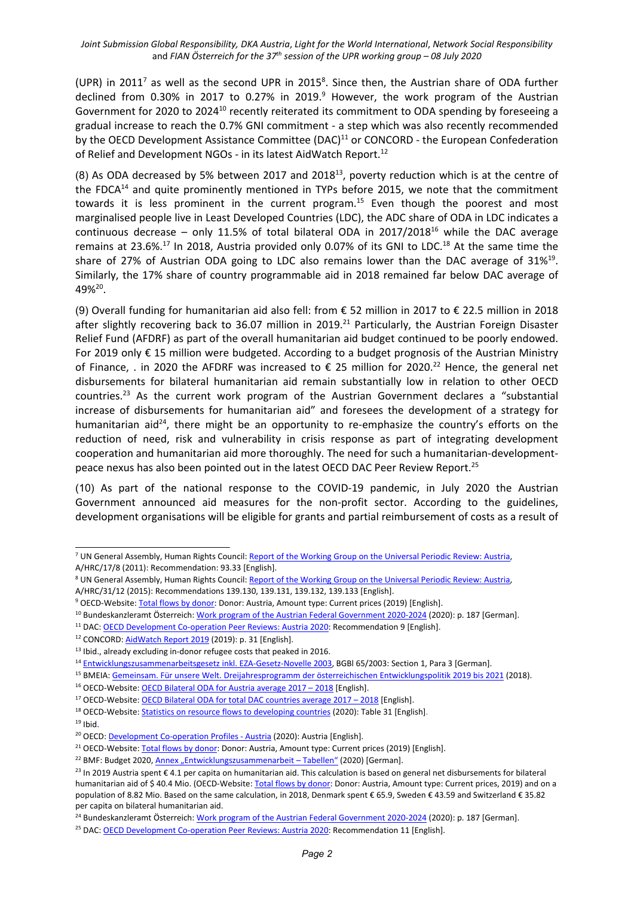(UPR) in 2011 $^7$  as well as the second UPR in 2015 $^8$ . Since then, the Austrian share of ODA further declined from 0.30% in 2017 to 0.27% in 2019.<sup>9</sup> However, the work program of the Austrian Government for 2020 to 2024<sup>10</sup> recently reiterated its commitment to ODA spending by foreseeing a gradual increase to reach the 0.7% GNI commitment - <sup>a</sup> step which was also recently recommended by the OECD Development Assistance Committee (DAC)<sup>11</sup> or CONCORD - the European Confederation of Relief and Development NGOs - in its latest AidWatch Report.<sup>12</sup>

(8) As ODA decreased by 5% between 2017 and 2018 $^{\rm 13}$ , poverty reduction which is at the centre of the FDCA<sup>14</sup> and quite prominently mentioned in TYPs before 2015, we note that the commitment towards it is less prominent in the current program.<sup>15</sup> Even though the poorest and most marginalised people live in Least Developed Countries (LDC), the ADC share of ODA in LDC indicates <sup>a</sup> continuous decrease – only 11.5% of total bilateral ODA in 2017/2018<sup>16</sup> while the DAC average remains at 23.6%. $^{17}$  In 2018, Austria provided only 0.07% of its GNI to LDC. $^{18}$  At the same time the share of 27% of Austrian ODA going to LDC also remains lower than the DAC average of 31%<sup>19</sup>. Similarly, the 17% share of country programmable aid in 2018 remained far below DAC average of 49%<sup>20</sup>.

(9) Overall funding for humanitarian aid also fell: from € 52 million in 2017 to € 22.5 million in 2018 after slightly recovering back to 36.07 million in 2019.<sup>21</sup> Particularly, the Austrian Foreign Disaster Relief Fund (AFDRF) as part of the overall humanitarian aid budget continued to be poorly endowed. For 2019 only € 15 million were budgeted. According to <sup>a</sup> budget prognosis of the Austrian Ministry of Finance, . in 2020 the AFDRF was increased to  $\epsilon$  25 million for 2020.<sup>22</sup> Hence, the general net disbursements for bilateral humanitarian aid remain substantially low in relation to other OECD countries.<sup>23</sup> As the current work program of the Austrian Government declares a "substantial increase of disbursements for humanitarian aid" and foresees the development of <sup>a</sup> strategy for humanitarian aid<sup>24</sup>, there might be an opportunity to re-emphasize the country's efforts on the reduction of need, risk and vulnerability in crisis response as part of integrating development cooperation and humanitarian aid more thoroughly. The need for such <sup>a</sup> humanitarian-developmentpeace nexus has also been pointed out in the latest OECD DAC Peer Review Report.<sup>25</sup>

(10) As part of the national response to the COVID-19 pandemic, in July 2020 the Austrian Government announced aid measures for the non-profit sector. According to the guidelines, development organisations will be eligible for grants and partial reimbursement of costs as <sup>a</sup> result of

 $19$  Ibid.

<sup>&</sup>lt;sup>7</sup> UN General Assembly, Human Rights Council: Report of the [Working](http://daccess-ods.un.org/access.nsf/Get?Open&DS=A/HRC/17/8&Lang=E) Group on the Universal Periodic Review: Austria, A/HRC/17/8 (2011): Recommendation: 93.33 [English].

<sup>&</sup>lt;sup>8</sup> UN General Assembly, Human Rights Council: Report of the [Working](http://daccess-ods.un.org/access.nsf/Get?Open&DS=A/HRC/31/12&Lang=E) Group on the Universal Periodic Review: Austria A/HRC/31/12 (2015): Recommendations 139.130, 139.131, 139.132, 139.133 [English].

<sup>&</sup>lt;sup>9</sup> OECD-Website: Total flows by [donor](http://stats.oecd.org/Index.aspx?QueryId=63165): Donor: Austria, Amount type: Current prices (2019) [English].

<sup>&</sup>lt;sup>10</sup> Bundeskanzleramt Österreich: Work program of the Austrian Federal [Government](https://www.bundeskanzleramt.gv.at/dam/jcr:7b9e6755-2115-440c-b2ec-cbf64a931aa8/RegProgramm-lang.pdf) 2020-2024 (2020): p. 187 [German].

<sup>&</sup>lt;sup>11</sup> DAC: <u>OECD [Development](https://www.oecd.org/dac/peer-reviews/oecd-development-co-operation-peer-reviews-austria-2020-03b626d5-en.htm) Co-operation Peer Reviews: Austria 2020</u>: Recommendation 9 [English].

<sup>&</sup>lt;sup>12</sup> CONCORD: <u>[AidWatch](https://concordeurope.org/wp-content/uploads/2019/11/CONCORD_AidWatch_Report_2019_web.pdf) Report 2019</u> (2019): p. 31 [English].

<sup>&</sup>lt;sup>13</sup> Ibid., already excluding in-donor refugee costs that peaked in 2016.

<sup>&</sup>lt;sup>14</sup> [Entwicklungszusammenarbeitsgesetz](https://www.ris.bka.gv.at/GeltendeFassung.wxe?Abfrage=Bundesnormen&Gesetzesnummer=20001847) inkl. EZA-Gesetz-Novelle 2003, BGBI 65/2003: Section 1, Para 3 [German].

<sup>&</sup>lt;sup>15</sup> BMEIA: <u>Gemeinsam. Für unsere Welt. [Dreijahresprogramm](https://www.entwicklung.at/fileadmin/user_upload/Dokumente/Publikationen/3_JP/2019-2021_Dreijahresprogramm.pdf) der österreichischen Entwicklungspolitik 2019 bis 2021 (2018)</u>

<sup>&</sup>lt;sup>16</sup> OECD-Website: OECD [Bilateral](https://public.tableau.com/views/AidAtAGlance/DACmembers?:embed=y&:display_count=no?&:showVizHome=no#1) ODA for Austria average 2017 – 2018 [English].

<sup>&</sup>lt;sup>17</sup> OECD-Website: <u>OECD Bilateral ODA for total DAC [countries](https://public.tableau.com/views/AidAtAGlance/DACmembers?:embed=y&:display_count=no?&:showVizHome=no#1) average 2017 – 2018</u> [English].

<sup>&</sup>lt;sup>18</sup> OECD-Website: Statistics on resource flows to [developing](https://www.oecd.org/dac/financing-sustainable-development/development-finance-data/statisticsonresourceflowstodevelopingcountries.htm) countries (2020): Table 31 [English].

<sup>&</sup>lt;sup>20</sup> OECD: <u>[Development](https://www.oecd-ilibrary.org/development/development-co-operation-profiles_2dcf1367-en) Co-operation Profiles - Austria</u> (2020): Austria [English].

<sup>&</sup>lt;sup>21</sup> OECD-Website: Total flows by [donor](http://stats.oecd.org/Index.aspx?QueryId=63165): Donor: Austria, Amount type: Current prices (2019) [English].

<sup>&</sup>lt;sup>22</sup> BMF: Budget 2020, Annex "[Entwicklungszusammenarbeit](https://www.bmf.gv.at/dam/jcr:cdc31838-20c8-444a-965b-25e03c7928eb/Entwicklungszusammenarbeit_2020_Tabellen.xlsx) – Tabellen" (2020) [German].

<sup>&</sup>lt;sup>23</sup> In 2019 Austria spent € 4.1 per capita on humanitarian aid. This calculation is based on general net disbursements for bilatera humanitarian aid of \$40.4 Mio. (OECD-Website: Total flows by [donor](http://stats.oecd.org/Index.aspx?QueryId=63165): Donor: Austria, Amount type: Current prices, 2019) and on a population of 8.82 Mio. Based on the same calculation, in 2018, Denmark spent € 65.9, Sweden € 43.59 and Switzerland € 35.82 per capita on bilateral humanitarian aid.

<sup>&</sup>lt;sup>24</sup> Bundeskanzleramt Österreich: Work program of the Austrian Federal [Government](https://www.bundeskanzleramt.gv.at/dam/jcr:7b9e6755-2115-440c-b2ec-cbf64a931aa8/RegProgramm-lang.pdf) 2020-2024 (2020): p. 187 [German].

<sup>&</sup>lt;sup>25</sup> DAC: <u>OECD [Development](https://www.oecd.org/dac/peer-reviews/oecd-development-co-operation-peer-reviews-austria-2020-03b626d5-en.htm) Co-operation Peer Reviews: Austria 2020</u>: Recommendation 11 [English].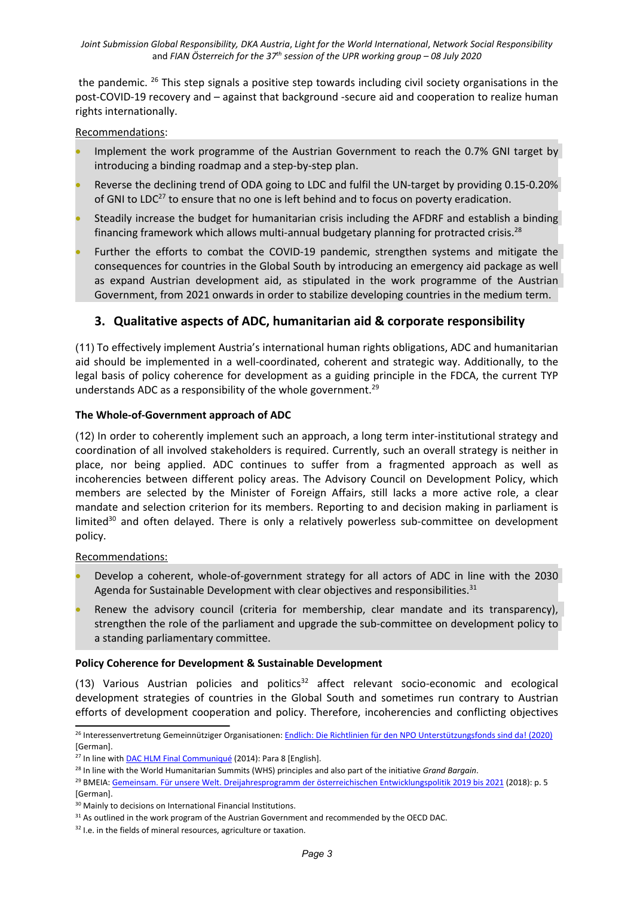the pandemic. <sup>26</sup> This step signals a positive step towards including civil society organisations in the post-COVID-19 recovery and – against that background -secure aid and cooperation to realize human rights internationally.

#### Recommendations:

- 0 Implement the work programme of the Austrian Government to reach the 0.7% GNI target by introducing <sup>a</sup> binding roadmap and <sup>a</sup> step-by-step plan.
- 0 Reverse the declining trend of ODA going to LDC and fulfil the UN-target by providing 0.15-0.20% of GNI to LDC<sup>27</sup> to ensure that no one is left behind and to focus on poverty eradication.
- 0 Steadily increase the budget for humanitarian crisis including the AFDRF and establish <sup>a</sup> binding financing framework which allows multi-annual budgetary planning for protracted crisis.<sup>28</sup>
- 0 Further the efforts to combat the COVID-19 pandemic, strengthen systems and mitigate the consequences for countries in the Global South by introducing an emergency aid package as well as expand Austrian development aid, as stipulated in the work programme of the Austrian Government, from 2021 onwards in order to stabilize developing countries in the medium term.

### **3. Qualitative aspects of ADC, humanitarian aid & corporate responsibility**

(11) To effectively implement Austria'<sup>s</sup> international human rights obligations, ADC and humanitarian aid should be implemented in <sup>a</sup> well-coordinated, coherent and strategic way. Additionally, to the legal basis of policy coherence for development as <sup>a</sup> guiding principle in the FDCA, the current TYP understands ADC as a responsibility of the whole government.<sup>29</sup>

#### **The Whole-of-Government approach of ADC**

(12) In order to coherently implement such an approach, <sup>a</sup> long term inter-institutional strategy and coordination of all involved stakeholders is required. Currently, such an overall strategy is neither in place, nor being applied. ADC continues to suffer from <sup>a</sup> fragmented approach as well as incoherencies between different policy areas. The Advisory Council on Development Policy, which members are selected by the Minister of Foreign Affairs, still lacks <sup>a</sup> more active role, <sup>a</sup> clear mandate and selection criterion for its members. Reporting to and decision making in parliament is limited $^{\text{30}}$  and often delayed. There is only a relatively powerless sub-committee on development policy.

#### Recommendations:

- Develop <sup>a</sup> coherent, whole-of-government strategy for all actors of ADC in line with the 2030 Agenda for Sustainable Development with clear objectives and responsibilities.<sup>31</sup>
- Renew the advisory council (criteria for membership, clear mandate and its transparency), strengthen the role of the parliament and upgrade the sub-committee on development policy to <sup>a</sup> standing parliamentary committee.

#### **Policy Coherence for Development & Sustainable Development**

(13) Various Austrian policies and politics<sup>32</sup> affect relevant socio-economic and ecological development strategies of countries in the Global South and sometimes run contrary to Austrian efforts of development cooperation and policy. Therefore, incoherencies and conflicting objectives

<sup>&</sup>lt;sup>26</sup> Interessenvertretung Gemeinnütziger Organisationen: Endlich: Die Richtlinien für den NPO [Unterstützungsfonds](https://gemeinnuetzig.at/2020/07/endlich-die-richtlinien-fuer-den-npo-unterstuetzungsfonds-sind-da/) sind da! (2020) [German].

<sup>&</sup>lt;sup>27</sup> In line with **DAC HLM Final [Communiqué](http://www.oecd.org/dac/OECD%20DAC%20HLM%20Communique.pdf)** (2014): Para 8 [English].

<sup>28</sup> In line with the World Humanitarian Summits (WHS) principles and also part of the initiative *Grand Bargain*.

<sup>&</sup>lt;sup>29</sup> BMEIA: <u>Gemeinsam. Für unsere Welt. [Dreijahresprogramm](https://www.entwicklung.at/fileadmin/user_upload/Dokumente/Publikationen/3_JP/2019-2021_Dreijahresprogramm.pdf) der österreichischen Entwicklungspolitik 2019 bis 2021 (2018): p. 5</u> [German].

<sup>&</sup>lt;sup>30</sup> Mainly to decisions on International Financial Institutions.

 $31$  As outlined in the work program of the Austrian Government and recommended by the OECD DAC.

<sup>&</sup>lt;sup>32</sup> I.e. in the fields of mineral resources, agriculture or taxation.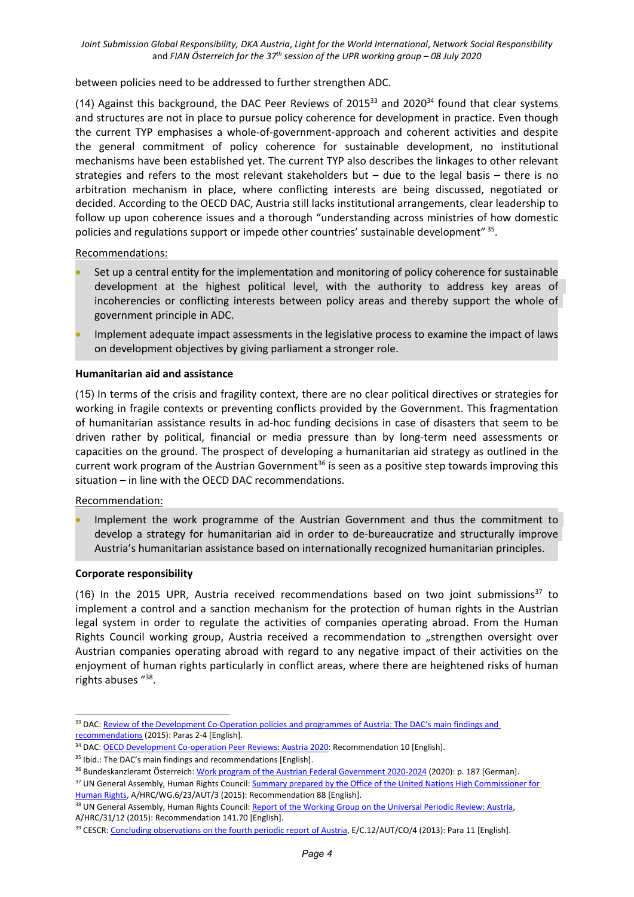between policies need to be addressed to further strengthen ADC.

(14) Against this background, the DAC Peer Reviews of 2015 $^{\text{33}}$  and 2020 $^{\text{34}}$  found that clear systems and structures are not in place to pursue policy coherence for development in practice. Even though the current TYP emphasises <sup>a</sup> whole-of-government-approach and coherent activities and despite the general commitment of policy coherence for sustainable development, no institutional mechanisms have been established yet. The current TYP also describes the linkages to other relevant strategies and refers to the most relevant stakeholders but – due to the legal basis – there is no arbitration mechanism in place, where conflicting interests are being discussed, negotiated or decided. According to the OECD DAC, Austria still lacks institutional arrangements, clear leadership to follow up upon coherence issues and <sup>a</sup> thorough "understanding across ministries of how domestic policies and regulations support or impede other countries' sustainable development"  $^{35}$ .

Recommendations:

- Set up <sup>a</sup> central entity for the implementation and monitoring of policy coherence for sustainable development at the highest political level, with the authority to address key areas of incoherencies or conflicting interests between policy areas and thereby support the whole of government principle in ADC.
- O Implement adequate impact assessments in the legislative process to examine the impact of laws on development objectives by giving parliament <sup>a</sup> stronger role.

#### **Humanitarian aid and assistance**

(15) In terms of the crisis and fragility context, there are no clear political directives or strategies for working in fragile contexts or preventing conflicts provided by the Government. This fragmentation of humanitarian assistance results in ad-hoc funding decisions in case of disasters that seem to be driven rather by political, financial or media pressure than by long-term need assessments or capacities on the ground. The prospect of developing <sup>a</sup> humanitarian aid strategy as outlined in the current work program of the Austrian Government<sup>36</sup> is seen as a positive step towards improving this situation – in line with the OECD DAC recommendations.

#### Recommendation:

 Implement the work programme of the Austrian Government and thus the commitment to develop <sup>a</sup> strategy for humanitarian aid in order to de-bureaucratize and structurally improve Austria'<sup>s</sup> humanitarian assistance based on internationally recognized humanitarian principles.

#### **Corporate responsibility**

(16) In the 2015 UPR, Austria received recommendations based on two joint submissions<sup>37</sup> to implement <sup>a</sup> control and <sup>a</sup> sanction mechanism for the protection of human rights in the Austrian legal system in order to regulate the activities of companies operating abroad. From the Human Rights Council working group, Austria received a recommendation to "strengthen oversight over Austrian companies operating abroad with regard to any negative impact of their activities on the enjoyment of human rights particularly in conflict areas, where there are heightened risks of human rights abuses " 38 .

<sup>&</sup>lt;sup>33</sup> DAC: Review of the [Development](https://www.oecd.org/dac/peer-reviews/4314131e.pdf) Co-Operation policies and programmes of Austria: The DAC's main findings and [recommendations](https://www.oecd.org/dac/peer-reviews/4314131e.pdf) (2015): Paras 2-4 [English].

<sup>&</sup>lt;sup>34</sup> DAC: OECD [Development](https://www.oecd.org/dac/peer-reviews/oecd-development-co-operation-peer-reviews-austria-2020-03b626d5-en.htm) Co-operation Peer Reviews: Austria 2020: Recommendation 10 [English].

<sup>&</sup>lt;sup>35</sup> Ibid.: The DAC's main findings and recommendations [English].

<sup>&</sup>lt;sup>36</sup> Bundeskanzleramt Österreich: Work program of the Austrian Federal [Government](https://www.bundeskanzleramt.gv.at/dam/jcr:7b9e6755-2115-440c-b2ec-cbf64a931aa8/RegProgramm-lang.pdf) 2020-2024 (2020): p. 187 [German].

<sup>&</sup>lt;sup>37</sup> UN General Assembly, Human Rights Council: Summary prepared by the Office of the United Nations High [Commissioner](http://daccess-ods.un.org/access.nsf/Get?Open&DS=A/HRC/WG.6/23/AUT/3&Lang=E) for Human [Rights](http://daccess-ods.un.org/access.nsf/Get?Open&DS=A/HRC/WG.6/23/AUT/3&Lang=E), A/HRC/WG.6/23/AUT/3 (2015): Recommendation 88 [English].

<sup>&</sup>lt;sup>38</sup> UN General Assembly, Human Rights Council: Report of the [Working](http://daccess-ods.un.org/access.nsf/Get?Open&DS=A/HRC/31/12&Lang=E) Group on the Universal Periodic Review: Austria A/HRC/31/12 (2015): Recommendation 141.70 [English].

<sup>&</sup>lt;sup>39</sup> CESCR: [Concluding](https://undocs.org/en/E/C.12/AUT/CO/4) observations on the fourth periodic report of Austria, E/C.12/AUT/CO/4 (2013): Para 11 [English].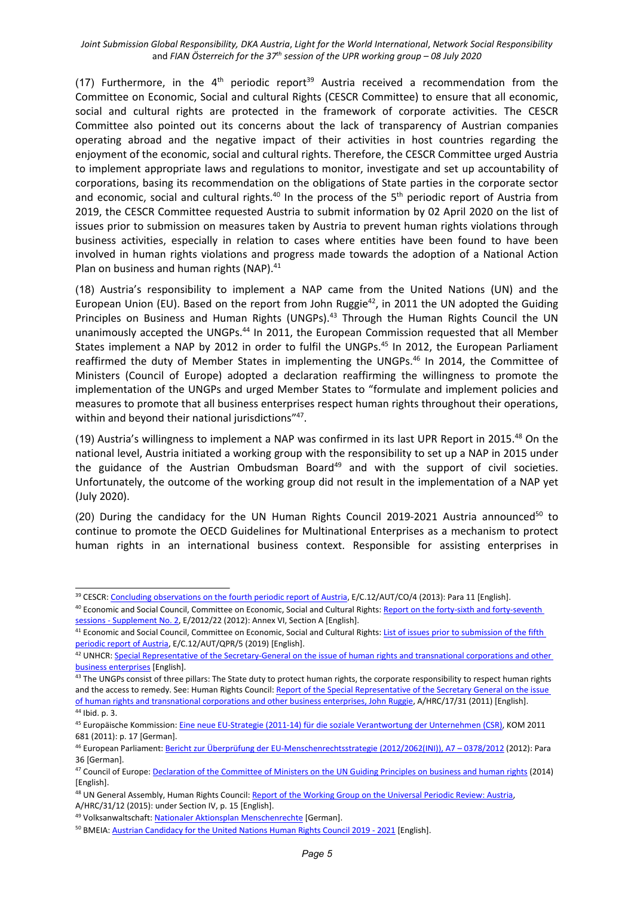*Joint Submission Global Responsibility, DKA Austria*, *Light for the World International*, *Network Social Responsibility* and *FIAN Österreich for the <sup>37</sup>th session of the UPR working group – 08 July 2020*

(17) Furthermore, in the 4<sup>th</sup> periodic report<sup>39</sup> Austria received a recommendation from the Committee on Economic, Social and cultural Rights (CESCR Committee) to ensure that all economic, social and cultural rights are protected in the framework of corporate activities. The CESCR Committee also pointed out its concerns about the lack of transparency of Austrian companies operating abroad and the negative impact of their activities in host countries regarding the enjoyment of the economic, social and cultural rights. Therefore, the CESCR Committee urged Austria to implement appropriate laws and regulations to monitor, investigate and set up accountability of corporations, basing its recommendation on the obligations of State parties in the corporate sector and economic, social and cultural rights.<sup>40</sup> In the process of the 5<sup>th</sup> periodic report of Austria from 2019, the CESCR Committee requested Austria to submit information by 02 April 2020 on the list of issues prior to submission on measures taken by Austria to prevent human rights violations through business activities, especially in relation to cases where entities have been found to have been involved in human rights violations and progress made towards the adoption of <sup>a</sup> National Action Plan on business and human rights (NAP).<sup>41</sup>

(18) Austria'<sup>s</sup> responsibility to implement <sup>a</sup> NAP came from the United Nations (UN) and the European Union (EU). Based on the report from John Ruggie<sup>42</sup>, in 2011 the UN adopted the Guiding Principles on Business and Human Rights (UNGPs).<sup>43</sup> Through the Human Rights Council the UN unanimously accepted the UNGPs.<sup>44</sup> In 2011, the European Commission requested that all Member States implement a NAP by 2012 in order to fulfil the UNGPs.<sup>45</sup> In 2012, the European Parliament reaffirmed the duty of Member States in implementing the UNGPs.<sup>46</sup> In 2014, the Committee of Ministers (Council of Europe) adopted <sup>a</sup> declaration reaffirming the willingness to promote the implementation of the UNGPs and urged Member States to "formulate and implement policies and measures to promote that all business enterprises respect human rights throughout their operations, within and beyond their national jurisdictions"<sup>47</sup>.

(19) Austria's willingness to implement a NAP was confirmed in its last UPR Report in 2015.<sup>48</sup> On the national level, Austria initiated <sup>a</sup> working group with the responsibility to set up <sup>a</sup> NAP in 2015 under the guidance of the Austrian Ombudsman Board<sup>49</sup> and with the support of civil societies. Unfortunately, the outcome of the working group did not result in the implementation of <sup>a</sup> NAP yet (July 2020).

(20) During the candidacy for the UN Human Rights Council 2019-2021 Austria announced<sup>50</sup> to continue to promote the OECD Guidelines for Multinational Enterprises as <sup>a</sup> mechanism to protect human rights in an international business context. Responsible for assisting enterprises in

<sup>&</sup>lt;sup>39</sup> CESCR: [Concluding](https://undocs.org/en/E/C.12/AUT/CO/4) observations on the fourth periodic report of Austria, E/C.12/AUT/CO/4 (2013): Para 11 [English].

<sup>&</sup>lt;sup>40</sup> Economic and Social Council, Committee on Economic, Social and Cultural Rights: <u>Report on the forty-sixth and [forty-seventh](https://undocs.org/E/2012/22)</u> sessions - [Supplement](https://undocs.org/E/2012/22) No. 2, E/2012/22 (2012): Annex VI, Section A [English].

<sup>&</sup>lt;sup>41</sup> Economic and Social Council, Committee on Economic, Social and Cultural Rights: <u>List of issues prior to [submission](https://undocs.org/en/E/C.12/WG/AUT/QPR/5) of the fifth</u> [periodic](https://undocs.org/en/E/C.12/WG/AUT/QPR/5) report of Austria, E/C.12/AUT/QPR/5 (2019) [English].

<sup>&</sup>lt;sup>42</sup> UNHCR: Special Representative of the [Secretary-General](https://www.ohchr.org/EN/Issues/Business/Pages/SRSGTransCorpIndex.aspx) on the issue of human rights and transnational corporations and other business [enterprises](https://www.ohchr.org/EN/Issues/Business/Pages/SRSGTransCorpIndex.aspx) [English].

<sup>&</sup>lt;sup>43</sup> The UNGPs consist of three pillars: The State duty to protect human rights, the corporate responsibility to respect human rights and the access to remedy. See: Human Rights Council: Report of the Special [Representative](https://www.ohchr.org/Documents/Issues/Business/A-HRC-17-31_AEV.pdf) of the Secretary General on the issue of human rights and transnational [corporations](https://www.ohchr.org/Documents/Issues/Business/A-HRC-17-31_AEV.pdf) and other business enterprises, John Ruggie, A/HRC/17/31 (2011) [English].

<sup>44</sup> Ibid. p. 3.

<sup>&</sup>lt;sup>45</sup> Europäische Kommission: <u>Eine neue EU-Strategie (2011-14) für die soziale [Verantwortung](https://ec.europa.eu/transparency/regdoc/rep/1/2011/DE/1-2011-681-DE-F1-1.Pdf) der Unternehmen (CSR)</u>, KOM 2011 681 (2011): p. 17 [German].

<sup>&</sup>lt;sup>46</sup> European Parliament: <u>Bericht zur Überprüfung der [EU-Menschenrechtsstrategie](https://www.europarl.europa.eu/sides/getDoc.do?pubRef=-//EP//TEXT+REPORT+A7-2012-0378+0+DOC+XML+V0//DE) (2012/2062(INI)), A7 – 0378/2012 (2012): Para</u> 36 [German].

<sup>&</sup>lt;sup>47</sup> Council of Europe: <u>Declaration of the Committee of Ministers on the UN Guiding [Principles](https://search.coe.int/cm/Pages/result_details.aspx?ObjectID=09000016805c6ee3) on business and human rights (2014)</u> [English].

<sup>&</sup>lt;sup>48</sup> UN General Assembly, Human Rights Council: <u>Report of the [Working](http://daccess-ods.un.org/access.nsf/Get?Open&DS=A/HRC/31/12&Lang=E) Group on the Universal Periodic Review: Austria</u> A/HRC/31/12 (2015): under Section IV, p. 15 [English].

<sup>&</sup>lt;sup>49</sup> Volksanwaltschaft: Nationaler Aktionsplan [Menschenrechte](https://volksanwaltschaft.gv.at/praeventive-menschenrechtskontrolle/nationaler-aktionsplan-menschenrechte-1#index-lead) [German].

<sup>&</sup>lt;sup>50</sup> BMEIA: <u>Austrian [Candidacy](https://www.bmeia.gv.at/fileadmin/user_upload/Zentrale/Aussenpolitik/Menschenrechte/Pledges_and_commitments__AT_HRC_candidacy_edited.pdf) for the United Nations Human Rights Council 2019 - 2021</u> [English].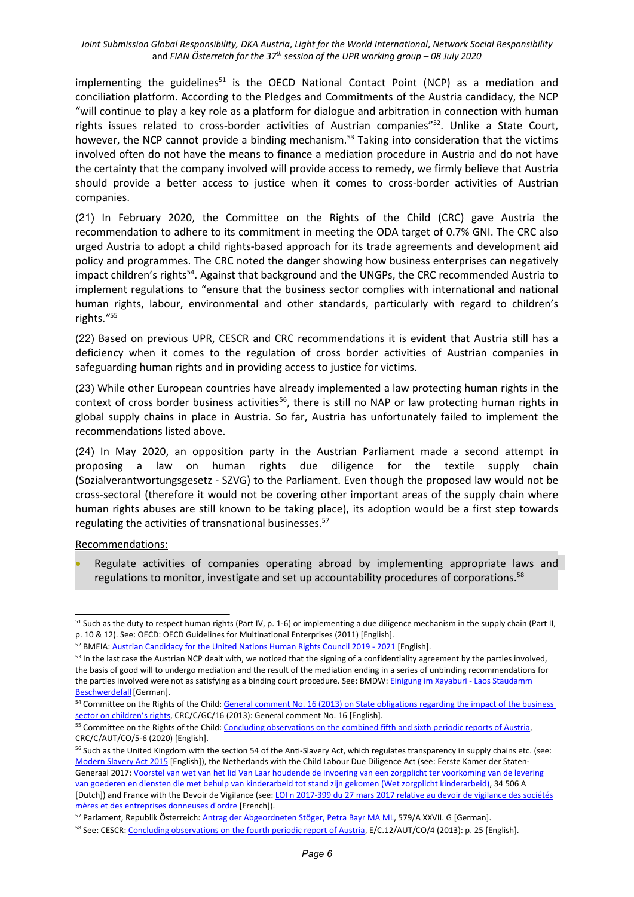implementing the guidelines<sup>51</sup> is the OECD National Contact Point (NCP) as a mediation and conciliation platform. According to the Pledges and Commitments of the Austria candidacy, the NCP "will continue to play <sup>a</sup> key role as <sup>a</sup> platform for dialogue and arbitration in connection with human rights issues related to cross-border activities of Austrian companies"<sup>52</sup>. Unlike a State Court, however, the NCP cannot provide a binding mechanism.<sup>53</sup> Taking into consideration that the victims involved often do not have the means to finance <sup>a</sup> mediation procedure in Austria and do not have the certainty that the company involved will provide access to remedy, we firmly believe that Austria should provide <sup>a</sup> better access to justice when it comes to cross-border activities of Austrian companies.

(21) In February 2020, the Committee on the Rights of the Child (CRC) gave Austria the recommendation to adhere to its commitment in meeting the ODA target of 0.7% GNI. The CRC also urged Austria to adopt <sup>a</sup> child rights-based approach for its trade agreements and development aid policy and programmes. The CRC noted the danger showing how business enterprises can negatively impact children's rights<sup>54</sup>. Against that background and the UNGPs, the CRC recommended Austria to implement regulations to "ensure that the business sector complies with international and national human rights, labour, environmental and other standards, particularly with regard to children'<sup>s</sup> rights." 55

(22) Based on previous UPR, CESCR and CRC recommendations it is evident that Austria still has <sup>a</sup> deficiency when it comes to the regulation of cross border activities of Austrian companies in safeguarding human rights and in providing access to justice for victims.

(23) While other European countries have already implemented <sup>a</sup> law protecting human rights in the context of cross border business activities<sup>56</sup>, there is still no NAP or law protecting human rights in global supply chains in place in Austria. So far, Austria has unfortunately failed to implement the recommendations listed above.

(24) In May 2020, an opposition party in the Austrian Parliament made <sup>a</sup> second attempt in proposing <sup>a</sup> law on human rights due diligence for the textile supply chain (Sozialverantwortungsgesetz - SZVG) to the Parliament. Even though the proposed law would not be cross-sectoral (therefore it would not be covering other important areas of the supply chain where human rights abuses are still known to be taking place), its adoption would be <sup>a</sup> first step towards regulating the activities of transnational businesses.<sup>57</sup>

Recommendations:

 Regulate activities of companies operating abroad by implementing appropriate laws and regulations to monitor, investigate and set up accountability procedures of corporations.<sup>58</sup>

<sup>&</sup>lt;sup>51</sup> Such as the duty to respect human rights (Part IV, p. 1-6) or implementing a due diligence mechanism in the supply chain (Part II, p. 10 & 12). See: OECD: OECD Guidelines for [Multinational](http://www.oecd.org/corporate/mne/48004323.pdf) Enterprises (2011) [English].

<sup>&</sup>lt;sup>52</sup> BMEIA: Austrian [Candidacy](https://www.bmeia.gv.at/fileadmin/user_upload/Zentrale/Aussenpolitik/Menschenrechte/Pledges_and_commitments__AT_HRC_candidacy_edited.pdf) for the United Nations Human Rights Council 2019 - 2021 [English].

<sup>&</sup>lt;sup>53</sup> In the last case the Austrian NCP dealt with, we noticed that the signing of a confidentiality agreement by the parties involved, the basis of good will to undergo mediation and the result of the mediation ending in <sup>a</sup> series of unbinding recommendations for the parties involved were not as satisfying as <sup>a</sup> binding court procedure. See: BMDW: Einigung im [Xayaburi](https://www.bmdw.gv.at/Themen/International/OECD-Leitsaetze-multinationale-Unternehmen-OeNKP/Einigung-im-Xayaburi---Laos-Staudamm-Beschwerdefall.html) - Laos Staudamm [Beschwerdefall](https://www.bmdw.gv.at/Themen/International/OECD-Leitsaetze-multinationale-Unternehmen-OeNKP/Einigung-im-Xayaburi---Laos-Staudamm-Beschwerdefall.html)</u>[German].

<sup>&</sup>lt;sup>54</sup> Committee on the Rights of the Child: General comment No. 16 (2013) on State [obligations](https://undocs.org/CRC/C/GC/16) regarding the impact of the business sector on [children](https://undocs.org/CRC/C/GC/16)'s rights, CRC/C/GC/16 (2013): General comment No. 16 [English].

<sup>&</sup>lt;sup>55</sup> Committee on the Rights of the Child: [Concluding](https://tbinternet.ohchr.org/Treaties/CRC/Shared%20Documents/AUT/CRC_C_AUT_CO_5-6_41509_E.pdf) observations on the combined fifth and sixth periodic reports of Austria CRC/C/AUT/CO/5-6 (2020) [English].

<sup>&</sup>lt;sup>56</sup> Such as the United Kingdom with the section 54 of the Anti-Slavery Act, which regulates transparency in supply chains etc. (see: Modern [Slavery](http://www.legislation.gov.uk/ukpga/2015/30/section/54/enacted) Act 2015 [English]), the Netherlands with the Child Labour Due Diligence Act (see: Eerste Kamer der StatenGeneraal 2017: Voorstel van wet van het lid Van Laar houdende de invoering van een zorgplicht ter [voorkoming](https://www.eerstekamer.nl/behandeling/20170207/gewijzigd_voorstel_van_wet) van de levering van goederen en diensten die met behulp van kinderarbeid tot stand zijn gekomen (Wet zorgplicht [kinderarbeid\)](https://www.eerstekamer.nl/behandeling/20170207/gewijzigd_voorstel_van_wet), 34 506 A [Dutch]) and France with the Devoir de Vigilance (see: LOI n 2017-399 du 27 mars 2017 relative au devoir de [vigilance](https://www.legifrance.gouv.fr/affichTexte.do?cidTexte=JORFTEXT000034290626&categorieLien=id) des sociétés mères et des [entreprises](https://www.legifrance.gouv.fr/affichTexte.do?cidTexte=JORFTEXT000034290626&categorieLien=id) donneuses d'ordre [French]).

<sup>&</sup>lt;sup>57</sup> Parlament, Republik Österreich: <u>Antrag der [Abgeordneten](https://www.parlament.gv.at/PAKT/VHG/XXVII/A/A_00579/fnameorig_799938.html) Stöger, Petra Bayr MA ML</u>, 579/A XXVII. G [German].

<sup>&</sup>lt;sup>58</sup> See: CESCR: [Concluding](https://undocs.org/en/E/C.12/AUT/CO/4) observations on the fourth periodic report of Austria, E/C.12/AUT/CO/4 (2013): p. 25 [English].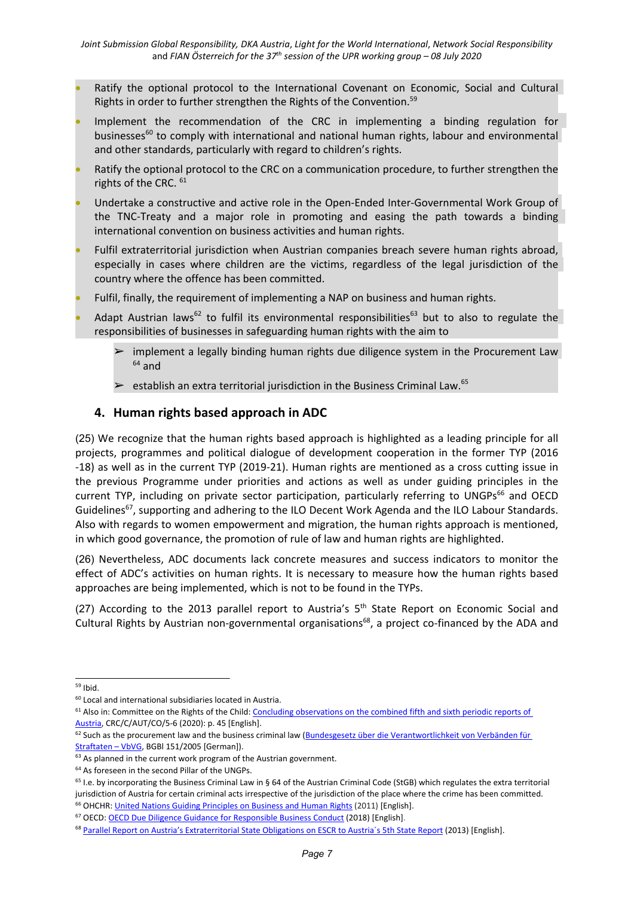- Ratify the optional protocol to the International Covenant on Economic, Social and Cultural Rights in order to further strengthen the Rights of the Convention.<sup>59</sup>
- Implement the recommendation of the CRC in implementing <sup>a</sup> binding regulation for businesses<sup>60</sup> to comply with international and national human rights, labour and environmenta and other standards, particularly with regard to children'<sup>s</sup> rights.
- O Ratify the optional protocol to the CRC on <sup>a</sup> communication procedure, to further strengthen the rights of the CRC. 61
- O Undertake <sup>a</sup> constructive and active role in the Open-Ended Inter-Governmental Work Group of the TNC-Treaty and <sup>a</sup> major role in promoting and easing the path towards <sup>a</sup> binding international convention on business activities and human rights.
- 0 Fulfil extraterritorial jurisdiction when Austrian companies breach severe human rights abroad, especially in cases where children are the victims, regardless of the legal jurisdiction of the country where the offence has been committed.
- 0 Fulfil, finally, the requirement of implementing <sup>a</sup> NAP on business and human rights.
- 0 • Adapt Austrian laws<sup>62</sup> to fulfil its environmental responsibilities<sup>63</sup> but to also to regulate the responsibilities of businesses in safeguarding human rights with the aim to
	- ➢ implement <sup>a</sup> legally binding human rights due diligence system in the Procurement Law  $^{64}$  and
	- $\triangleright$  establish an extra territorial jurisdiction in the Business Criminal Law.<sup>65</sup>

### **4. Human rights based approach in ADC**

(25) We recognize that the human rights based approach is highlighted as <sup>a</sup> leading principle for all projects, programmes and political dialogue of development cooperation in the former TYP (2016 -18) as well as in the current TYP (2019-21). Human rights are mentioned as <sup>a</sup> cross cutting issue in the previous Programme under priorities and actions as well as under guiding principles in the current TYP, including on private sector participation, particularly referring to UNGPs<sup>66</sup> and OECD Guidelines<sup>67</sup>, supporting and adhering to the ILO Decent Work Agenda and the ILO Labour Standards. Also with regards to women empowerment and migration, the human rights approach is mentioned, in which good governance, the promotion of rule of law and human rights are highlighted.

(26) Nevertheless, ADC documents lack concrete measures and success indicators to monitor the effect of ADC'<sup>s</sup> activities on human rights. It is necessary to measure how the human rights based approaches are being implemented, which is not to be found in the TYPs.

(27) According to the 2013 parallel report to Austria's 5<sup>th</sup> State Report on Economic Social and Cultural Rights by Austrian non-governmental organisations<sup>68</sup>, a project co-financed by the ADA and

<sup>&</sup>lt;sup>59</sup> Ibid.

<sup>&</sup>lt;sup>60</sup> Local and international subsidiaries located in Austria.

<sup>&</sup>lt;sup>61</sup> Also in: Committee on the Rights of the Child: [Concluding](https://tbinternet.ohchr.org/Treaties/CRC/Shared%20Documents/AUT/CRC_C_AUT_CO_5-6_41509_E.pdf) observations on the combined fifth and sixth periodic reports of [Austria](https://tbinternet.ohchr.org/Treaties/CRC/Shared%20Documents/AUT/CRC_C_AUT_CO_5-6_41509_E.pdf), CRC/C/AUT/CO/5-6 (2020): p. 45 [English].

<sup>&</sup>lt;sup>62</sup> Such as the procurement law and the business criminal law (Bundesgesetz über die [Verantwortlichkeit](https://www.ris.bka.gv.at/GeltendeFassung.wxe?Abfrage=Bundesnormen&Gesetzesnummer=20004425) von Verbänden für [Straftaten](https://www.ris.bka.gv.at/GeltendeFassung.wxe?Abfrage=Bundesnormen&Gesetzesnummer=20004425) - VbVG, BGBI 151/2005 [German]).

 $63$  As planned in the current work program of the Austrian government.

<sup>64</sup> As foreseen in the second Pillar of the UNGPs.

<sup>&</sup>lt;sup>65</sup> I.e. by incorporating the Business Criminal Law in § 64 of the Austrian Criminal Code (StGB) which regulates the extra territoria jurisdiction of Austria for certain criminal acts irrespective of the jurisdiction of the place where the crime has been committed.

<sup>&</sup>lt;sup>66</sup> OHCHR: <u>United Nations Guiding Principles on Business and Human Rights</u> (2011) [English]. <sup>67</sup> OECD: <u>OECD Due Diligence Guidance for [Responsible](https://www.oecd.org/investment/due-diligence-guidance-for-responsible-business-conduct.htm) Business Conduct</u> (2018) [English].

<sup>&</sup>lt;sup>68</sup> Parallel Report on Austria's [Extraterritorial](https://tbinternet.ohchr.org/Treaties/CESCR/Shared%20Documents/AUT/INT_CESCR_NGO_AUT_15106_E.pdf) State Obligations on ESCR to Austria's 5th State Report (2013) [English].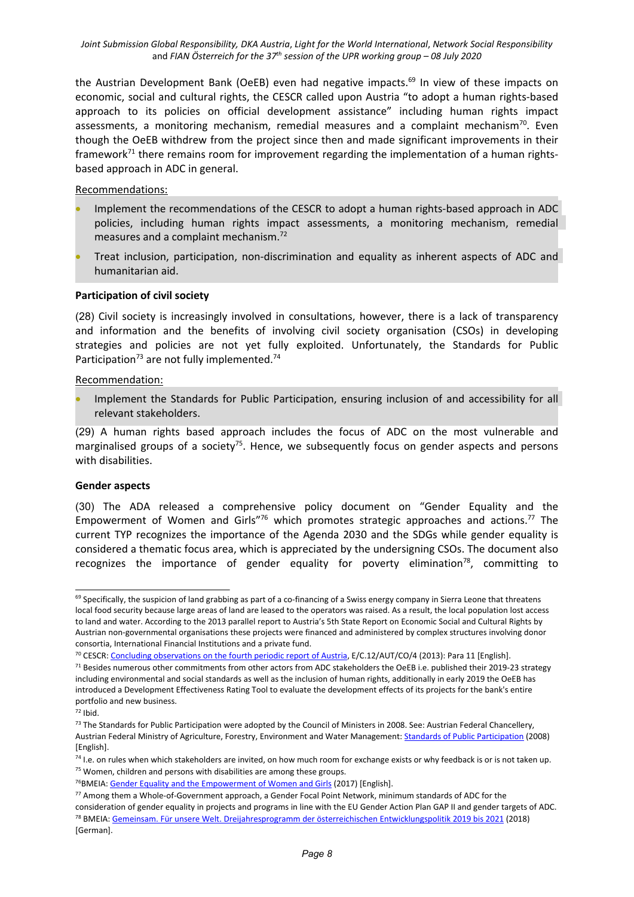the Austrian Development Bank (OeEB) even had negative impacts.<sup>69</sup> In view of these impacts on economic, social and cultural rights, the CESCR called upon Austria "to adopt <sup>a</sup> human rights-based approach to its policies on official development assistance" including human rights impact assessments, a monitoring mechanism, remedial measures and a complaint mechanism<sup>70</sup>. Even though the OeEB withdrew from the project since then and made significant improvements in their framework<sup>71</sup> there remains room for improvement regarding the implementation of a human rightsbased approach in ADC in general.

Recommendations:

- Implement the recommendations of the CESCR to adopt <sup>a</sup> human rights-based approach in ADC policies, including human rights impact assessments, <sup>a</sup> monitoring mechanism, remedial measures and a complaint mechanism.<sup>72</sup>
- Treat inclusion, participation, non-discrimination and equality as inherent aspects of ADC and humanitarian aid.

#### **Participation of civil society**

(28) Civil society is increasingly involved in consultations, however, there is <sup>a</sup> lack of transparency and information and the benefits of involving civil society organisation (CSOs) in developing strategies and policies are not yet fully exploited. Unfortunately, the Standards for Public Participation<sup>73</sup> are not fully implemented.<sup>74</sup>

#### Recommendation:

0 Implement the Standards for Public Participation, ensuring inclusion of and accessibility for all relevant stakeholders.

(29) A human rights based approach includes the focus of ADC on the most vulnerable and marginalised groups of a society<sup>75</sup>. Hence, we subsequently focus on gender aspects and persons with disabilities.

#### **Gender aspects**

(30) The ADA released <sup>a</sup> comprehensive policy document on "Gender Equality and the Empowerment of Women and Girls"<sup>76</sup> which promotes strategic approaches and actions.<sup>77</sup> The current TYP recognizes the importance of the Agenda 2030 and the SDGs while gender equality is considered <sup>a</sup> thematic focus area, which is appreciated by the undersigning CSOs. The document also recognizes the importance of gender equality for poverty elimination<sup>78</sup>, committing to

<sup>&</sup>lt;sup>69</sup> Specifically, the suspicion of land grabbing as part of a co-financing of a Swiss energy company in Sierra Leone that threatens local food security because large areas of land are leased to the operators was raised. As <sup>a</sup> result, the local population lost access to land and water. According to the 2013 parallel report to Austria'<sup>s</sup> 5th State Report on Economic Social and Cultural Rights by Austrian non-governmental organisations these projects were financed and administered by complex structures involving donor consortia, International Financial Institutions and <sup>a</sup> private fund.

<sup>&</sup>lt;sup>70</sup> CESCR: [Concluding](https://undocs.org/en/E/C.12/AUT/CO/4) observations on the fourth periodic report of Austria, E/C.12/AUT/CO/4 (2013): Para 11 [English].

<sup>&</sup>lt;sup>71</sup> Besides numerous other commitments from other actors from ADC stakeholders the OeEB i.e. published their 2019-23 strategy including environmental and social standards as well as the inclusion of human rights, additionally in early 2019 the OeEB has introduced <sup>a</sup> Development Effectiveness Rating Tool to evaluate the development effects of its projects for the bank's entire portfolio and new business.

 $72$  Ibid.

<sup>&</sup>lt;sup>73</sup> The Standards for Public Participation were adopted by the Council of Ministers in 2008. See: Austrian Federal Chancellery, Austrian Federal Ministry of Agriculture, Forestry, Environment and Water Management: Standards of Public [Participation](https://www.partizipation.at/standards_pp.html) (2008) [English].

<sup>&</sup>lt;sup>74</sup> I.e. on rules when which stakeholders are invited, on how much room for exchange exists or why feedback is or is not taken up.  $75$  Women, children and persons with disabilities are among these groups.

<sup>&</sup>lt;sup>76</sup>BMEIA: Gender Equality and the [Empowerment](https://www.entwicklung.at/fileadmin/user_upload/Dokumente/Publikationen/Leitlinien/Englisch/PD_Gender_2017_EN.pdf) of Women and Girls (2017) [English].

<sup>&</sup>lt;sup>77</sup> Among them a Whole-of-Government approach, a Gender Focal Point Network, minimum standards of ADC for the consideration of gender equality in projects and programs in line with the EU Gender Action Plan GAP II and gender targets of ADC. <sup>78</sup> BMEIA: <u>Gemeinsam. Für unsere Welt. [Dreijahresprogramm](https://www.entwicklung.at/fileadmin/user_upload/Dokumente/Publikationen/3_JP/2019-2021_Dreijahresprogramm.pdf) der österreichischen Entwicklungspolitik 2019 bis 2021 (2018)</u> [German].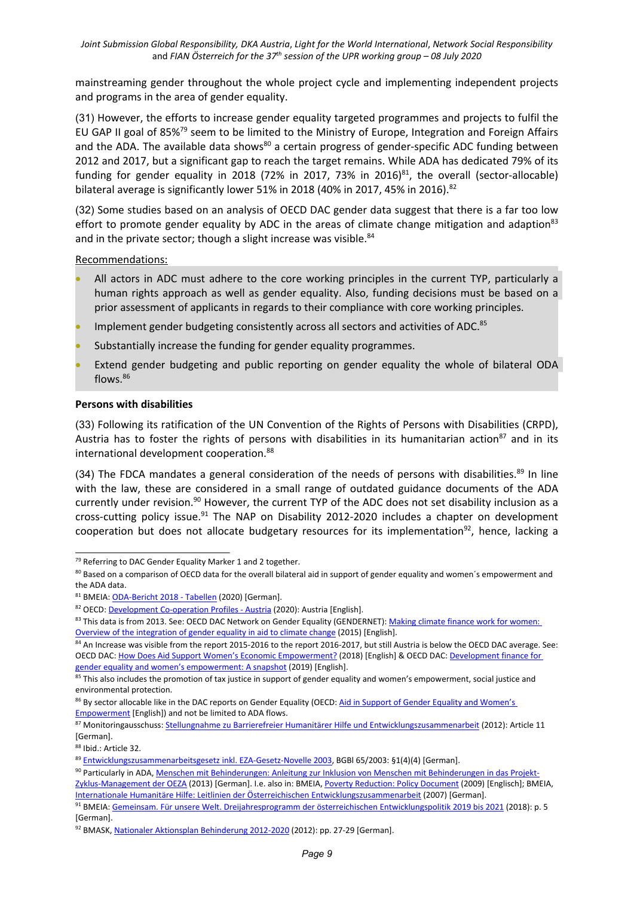mainstreaming gender throughout the whole project cycle and implementing independent projects and programs in the area of gender equality.

(31) However, the efforts to increase gender equality targeted programmes and projects to fulfil the EU GAP II goal of 85%<sup>79</sup> seem to be limited to the Ministry of Europe, Integration and Foreign Affairs and the ADA. The available data shows<sup>80</sup> a certain progress of gender-specific ADC funding between 2012 and 2017, but <sup>a</sup> significant gap to reach the target remains. While ADA has dedicated 79% of its funding for gender equality in 2018 (72% in 2017, 73% in 2016) $^{81}$ , the overall (sector-allocable) bilateral average is significantly lower 51% in 2018 (40% in 2017, 45% in 2016). $^{82}$ 

(32) Some studies based on an analysis of OECD DAC gender data suggest that there is <sup>a</sup> far too low effort to promote gender equality by ADC in the areas of climate change mitigation and adaption $83$ and in the private sector; though a slight increase was visible.<sup>84</sup>

Recommendations:

- All actors in ADC must adhere to the core working principles in the current TYP, particularly <sup>a</sup> human rights approach as well as gender equality. Also, funding decisions must be based on <sup>a</sup> prior assessment of applicants in regards to their compliance with core working principles.
- O • Implement gender budgeting consistently across all sectors and activities of ADC.<sup>85</sup>
- O Substantially increase the funding for gender equality programmes.
- 0 Extend gender budgeting and public reporting on gender equality the whole of bilateral ODA flows. 86

#### **Persons with disabilities**

(33) Following its ratification of the UN Convention of the Rights of Persons with Disabilities (CRPD), Austria has to foster the rights of persons with disabilities in its humanitarian action $^{87}$  and in its international development cooperation.<sup>88</sup>

(34) The FDCA mandates a general consideration of the needs of persons with disabilities.<sup>89</sup> In line with the law, these are considered in <sup>a</sup> small range of outdated guidance documents of the ADA currently under revision.<sup>90</sup> However, the current TYP of the ADC does not set disability inclusion as a cross-cutting policy issue.<sup>91</sup> The NAP on Disability 2012-2020 includes a chapter on development cooperation but does not allocate budgetary resources for its implementation<sup>92</sup>, hence, lacking a

<sup>&</sup>lt;sup>79</sup> Referring to DAC Gender Equality Marker 1 and 2 together.

 $^{80}$  Based on a comparison of OECD data for the overall bilateral aid in support of gender equality and women's empowerment and the ADA data.

<sup>&</sup>lt;sup>81</sup> BMEIA: [ODA-Bericht](https://www.entwicklung.at/fileadmin/user_upload/Dokumente/Publikationen/ODA-Berichte/ODA-Bericht_2018_Tabellen.pdf) 2018 - Tabellen (2020) [German].

<sup>&</sup>lt;sup>82</sup> OECD: <u>[Development](https://www.oecd-ilibrary.org/development/development-co-operation-profiles_2dcf1367-en) Co-operation Profiles - Austria</u> (2020): Austria [English].

<sup>&</sup>lt;sup>83</sup> This data is from 2013. See: OECD DAC Network on Gender Equality (GENDERNET): [Making](https://www.oecd.org/dac/gender-development/Making-Climate-Finance-Work-for-Women.pdf) climate finance work for women: Overview of the [integration](https://www.oecd.org/dac/gender-development/Making-Climate-Finance-Work-for-Women.pdf) of gender equality in aid to climate change (2015) [English].

<sup>&</sup>lt;sup>84</sup> An Increase was visible from the report 2015-2016 to the report 2016-2017, but still Austria is below the OECD DAC average. See: OECD DAC: How Does Aid Support Women'<sup>s</sup> Economic [Empowerment?](http://www.oecd.org/dac/gender-development/How-Does-Aid-Support-Womens-Economic-Empowerment.pdf) (2018) [English] & OECD DAC: [Development](http://www.oecd.org/development/gender-development/Dev-finance-for-gender-equality-and-womens-economic-empowerment-2019.pdf) finance for gender equality and women'<sup>s</sup> [empowerment:](http://www.oecd.org/development/gender-development/Dev-finance-for-gender-equality-and-womens-economic-empowerment-2019.pdf) A snapshot (2019) [English].

<sup>&</sup>lt;sup>85</sup> This also includes the promotion of tax justice in support of gender equality and women's empowerment, social justice and environmental protection.

<sup>&</sup>lt;sup>86</sup> By sector allocable like in the DAC reports on Gender [Equality](http://www.oecd.org/dac/stats/aidinsupportofgenderequalityandwomensempowerment.htm) (OECD: <u>Aid in Support of Gender Equality and Women's</u> [Empowerment](http://www.oecd.org/dac/stats/aidinsupportofgenderequalityandwomensempowerment.htm) [English]) and not be limited to ADA flows.

<sup>87</sup> Monitoringausschuss: Stellungnahme zu Barrierefreier Humanitärer Hilfe und [Entwicklungszusammenarbeit](https://www.monitoringausschuss.at/download/stellungnahmen/entwicklungszusammenarbeit/MA_SN_Entwicklungszusammenarbeit_2012_04_12.pdf) (2012): Article 11 [German].

 $^{88}$  Ibid.: Article 32.

<sup>89</sup> [Entwicklungszusammenarbeitsgesetz](https://www.ris.bka.gv.at/GeltendeFassung.wxe?Abfrage=Bundesnormen&Gesetzesnummer=20001847) inkl. EZA-Gesetz-Novelle 2003, BGBl 65/2003: §1(4)(4) [German].

<sup>&</sup>lt;sup>90</sup> Particularly in ADA, <u>Menschen mit [Behinderungen:](https://www.entwicklung.at/fileadmin/user_upload/Dokumente/Publikationen/Handbuecher/Menschen_mB/HB_Menschen_mB.pdf) Anleitung zur Inklusion von Menschen mit Behinderungen in das Projekt-</u>

[Zyklus-Management](https://www.entwicklung.at/fileadmin/user_upload/Dokumente/Publikationen/Handbuecher/Menschen_mB/HB_Menschen_mB.pdf) der OEZA (2013) [German]. I.e. also in: BMEIA, Poverty [Reduction:](https://www.entwicklung.at/fileadmin/user_upload/Dokumente/Publikationen/Leitlinien/Englisch/PD_Poverty_reduction_Dec2009_EN.pdf) Policy Document (2009) [Englisch]; BMEIA, Internationale Humanitäre Hilfe: Leitlinien der Österreichischen [Entwicklungszusammenarbeit](https://www.entwicklung.at/fileadmin/user_upload/Dokumente/Publikationen/Leitlinien/LL_HuHi_DE.pdf) (2007) [German].

<sup>&</sup>lt;sup>91</sup> BMEIA: Gemeinsam. Für unsere Welt. [Dreijahresprogramm](https://www.entwicklung.at/fileadmin/user_upload/Dokumente/Publikationen/3_JP/2019-2021_Dreijahresprogramm.pdf) der österreichischen Entwicklungspolitik 2019 bis 2021 (2018): p. 5 [German].

<sup>&</sup>lt;sup>92</sup> BMASK, <u>Nationaler Aktionsplan [Behinderung](https://broschuerenservice.sozialministerium.at/Home/Download?publicationId=165) 2012-2020</u> (2012): pp. 27-29 [German].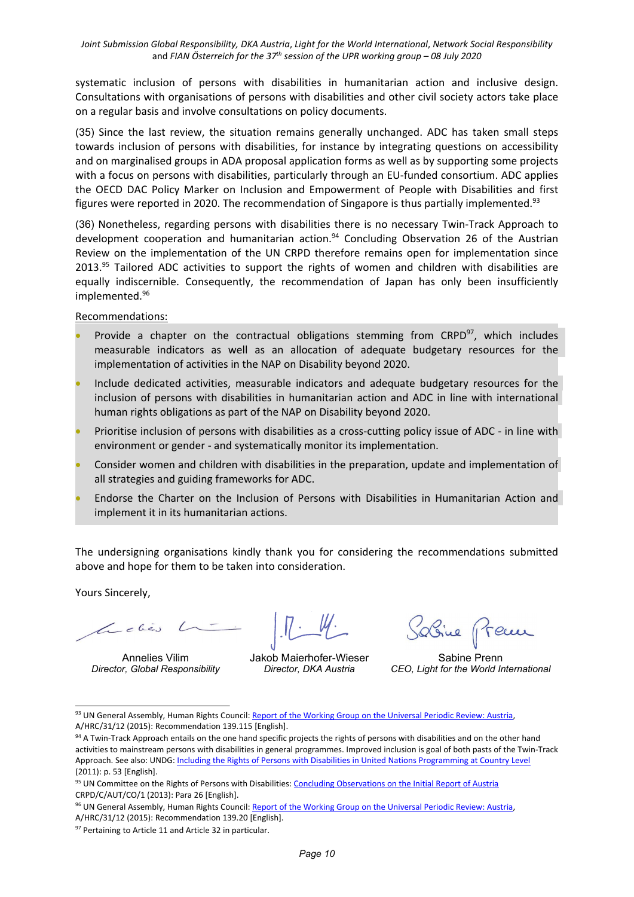systematic inclusion of persons with disabilities in humanitarian action and inclusive design. Consultations with organisations of persons with disabilities and other civil society actors take place on <sup>a</sup> regular basis and involve consultations on policy documents.

(35) Since the last review, the situation remains generally unchanged. ADC has taken small steps towards inclusion of persons with disabilities, for instance by integrating questions on accessibility and on marginalised groups in ADA proposal application forms as well as by supporting some projects with <sup>a</sup> focus on persons with disabilities, particularly through an EU-funded consortium. ADC applies the OECD DAC Policy Marker on Inclusion and Empowerment of People with Disabilities and first figures were reported in 2020. The recommendation of Singapore is thus partially implemented.<sup>93</sup>

(36) Nonetheless, regarding persons with disabilities there is no necessary Twin-Track Approach to development cooperation and humanitarian action.<sup>94</sup> Concluding Observation 26 of the Austrian Review on the implementation of the UN CRPD therefore remains open for implementation since 2013.<sup>95</sup> Tailored ADC activities to support the rights of women and children with disabilities are equally indiscernible. Consequently, the recommendation of Japan has only been insufficiently implemented. 96

Recommendations:

- 0 • Provide a chapter on the contractual obligations stemming from  $CRPD^{97}$ , which includes measurable indicators as well as an allocation of adequate budgetary resources for the implementation of activities in the NAP on Disability beyond 2020.
- 0 Include dedicated activities, measurable indicators and adequate budgetary resources for the inclusion of persons with disabilities in humanitarian action and ADC in line with international human rights obligations as part of the NAP on Disability beyond 2020.
- Prioritise inclusion of persons with disabilities as <sup>a</sup> cross-cutting policy issue of ADC in line with environment or gender - and systematically monitor its implementation.
- Consider women and children with disabilities in the preparation, update and implementation of all strategies and guiding frameworks for ADC.
- Endorse the Charter on the Inclusion of Persons with Disabilities in Humanitarian Action and implement it in its humanitarian actions.

The undersigning organisations kindly thank you for considering the recommendations submitted above and hope for them to be taken into consideration.

Yours Sincerely,

Annelies Vilim *Director, Global Responsibility*

Jakob Maierhofer-Wieser *Director, DKA Austria*

Sabine Prenn *CEO, Light for the World International*

<sup>&</sup>lt;sup>93</sup> UN General Assembly, Human Rights Council: <u>Report of the [Working](http://daccess-ods.un.org/access.nsf/Get?Open&DS=A/HRC/31/12&Lang=E) Group on the Universal Periodic Review: Austria</u> A/HRC/31/12 (2015): Recommendation 139.115 [English].

<sup>&</sup>lt;sup>94</sup> A Twin-Track Approach entails on the one hand specific projects the rights of persons with disabilities and on the other hand activities to mainstream persons with disabilities in general programmes. Improved inclusion is goal of both pasts of the Twin-Track Approach. See also: UNDG: Including the Rights of Persons with Disabilities in United Nations [Programming](https://www.un.org/disabilities/documents/iasg/undg_guidance_note_final.pdf) at Country Level (2011): p. 53 [English].

<sup>&</sup>lt;sup>95</sup> UN Committee on the Rights of Persons with Disabilities: [Concluding](http://docstore.ohchr.org/SelfServices/FilesHandler.ashx?enc=6QkG1d%2FPPRiCAqhKb7yhsnzSGolKOaUX8SsM2PfxU7s9lOchc%2Bi0vJdc3TEt6JuQH6d6LwuOqunaiCbf0Z0e%2B%2FWMb4CH5VprCrZY%2BNACxgE0TuveykmCBkAshdLAsUeB) Observations on the Initial Report of Austria CRPD/C/AUT/CO/1 (2013): Para 26 [English].

<sup>&</sup>lt;sup>96</sup> UN General Assembly, Human Rights Council: Report of the [Working](http://daccess-ods.un.org/access.nsf/Get?Open&DS=A/HRC/31/12&Lang=E) Group on the Universal Periodic Review: Austria A/HRC/31/12 (2015): Recommendation 139.20 [English].

<sup>&</sup>lt;sup>97</sup> Pertaining to Article 11 and Article 32 in particular.